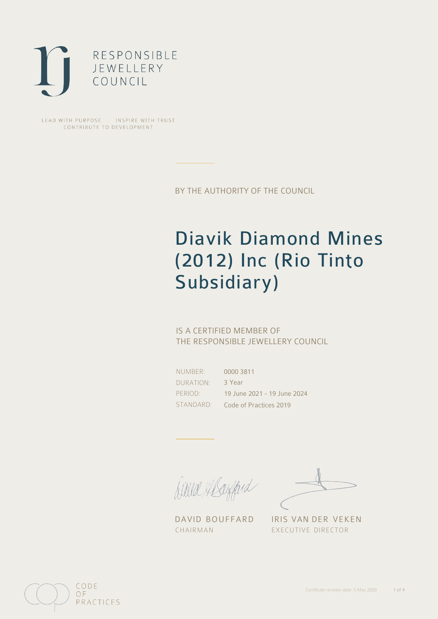

LEAD WITH PURPOSE . INSPIRE WITH TRUST CONTRIBUTE TO DEVELOPMENT

BY THE AUTHORITY OF THE COUNCIL

# Diavik Diamond Mines (2012) Inc (Rio Tinto Subsidiary)

## IS A CERTIFIED MEMBER OF THE RESPONSIBLE JEWELLERY COUNCIL

NUMBER: DURATION: PERIOD: STANDARD:

0000 3811 3 Year 19 June 2021 - 19 June 2024 Code of Practices 2019

filled elsefferd

CHAIRMAN EXECUTIVE DIRECTOR

DAVID BOUFFARD IRIS VAN DER VEKEN

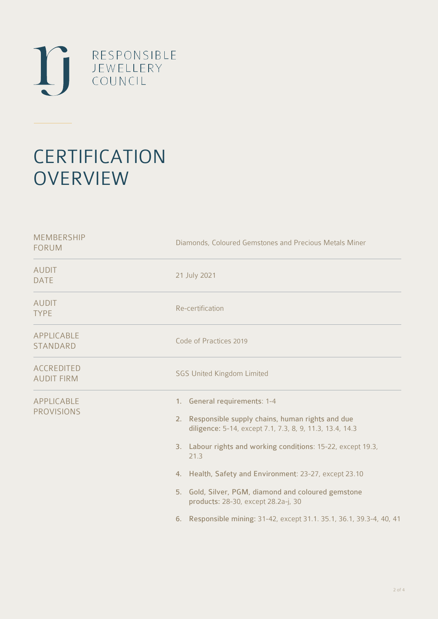

# **CERTIFICATION OVERVIEW**

| Diamonds, Coloured Gemstones and Precious Metals Miner                                                                                                                                                                                                                                                                                                                                                                                                     |
|------------------------------------------------------------------------------------------------------------------------------------------------------------------------------------------------------------------------------------------------------------------------------------------------------------------------------------------------------------------------------------------------------------------------------------------------------------|
| 21 July 2021                                                                                                                                                                                                                                                                                                                                                                                                                                               |
| Re-certification                                                                                                                                                                                                                                                                                                                                                                                                                                           |
| Code of Practices 2019                                                                                                                                                                                                                                                                                                                                                                                                                                     |
| <b>SGS United Kingdom Limited</b>                                                                                                                                                                                                                                                                                                                                                                                                                          |
| 1. General requirements: 1-4<br>2. Responsible supply chains, human rights and due<br>diligence: 5-14, except 7.1, 7.3, 8, 9, 11.3, 13.4, 14.3<br>3. Labour rights and working conditions: 15-22, except 19.3,<br>21.3<br>4. Health, Safety and Environment: 23-27, except 23.10<br>5. Gold, Silver, PGM, diamond and coloured gemstone<br>products: 28-30, except 28.2a-j, 30<br>Responsible mining: 31-42, except 31.1. 35.1, 36.1, 39.3-4, 40, 41<br>6. |
|                                                                                                                                                                                                                                                                                                                                                                                                                                                            |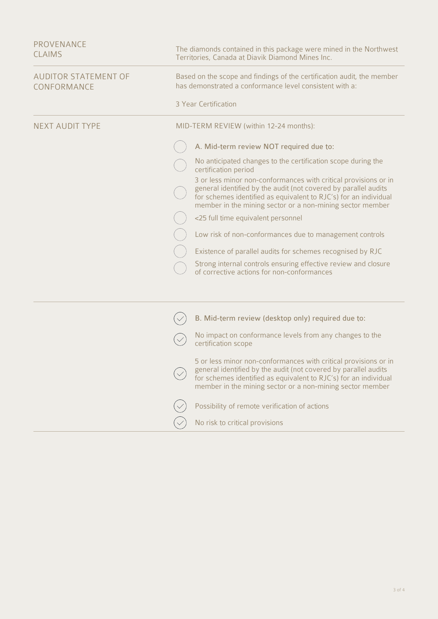| <b>PROVENANCE</b><br><b>CLAIMS</b>         | The diamonds contained in this package were mined in the Northwest<br>Territories, Canada at Diavik Diamond Mines Inc.                                                                                                                                              |
|--------------------------------------------|---------------------------------------------------------------------------------------------------------------------------------------------------------------------------------------------------------------------------------------------------------------------|
| <b>AUDITOR STATEMENT OF</b><br>CONFORMANCE | Based on the scope and findings of the certification audit, the member<br>has demonstrated a conformance level consistent with a:                                                                                                                                   |
|                                            | 3 Year Certification                                                                                                                                                                                                                                                |
| <b>NEXT AUDIT TYPE</b>                     | MID-TERM REVIEW (within 12-24 months):                                                                                                                                                                                                                              |
|                                            | A. Mid-term review NOT required due to:                                                                                                                                                                                                                             |
|                                            | No anticipated changes to the certification scope during the<br>certification period                                                                                                                                                                                |
|                                            | 3 or less minor non-conformances with critical provisions or in<br>general identified by the audit (not covered by parallel audits<br>for schemes identified as equivalent to RJC's) for an individual<br>member in the mining sector or a non-mining sector member |
|                                            | <25 full time equivalent personnel                                                                                                                                                                                                                                  |
|                                            | Low risk of non-conformances due to management controls                                                                                                                                                                                                             |
|                                            | Existence of parallel audits for schemes recognised by RJC                                                                                                                                                                                                          |
|                                            | Strong internal controls ensuring effective review and closure<br>of corrective actions for non-conformances                                                                                                                                                        |
|                                            |                                                                                                                                                                                                                                                                     |
|                                            | B. Mid-term review (desktop only) required due to:                                                                                                                                                                                                                  |
|                                            | No impact on conformance levels from any changes to the<br>certification scope                                                                                                                                                                                      |
|                                            | 5 or less minor non-conformances with critical provisions or in<br>general identified by the audit (not covered by parallel audits<br>for schemes identified as equivalent to RJC's) for an individual<br>member in the mining sector or a non-mining sector member |
|                                            | Possibility of remote verification of actions                                                                                                                                                                                                                       |
|                                            | No risk to critical provisions                                                                                                                                                                                                                                      |